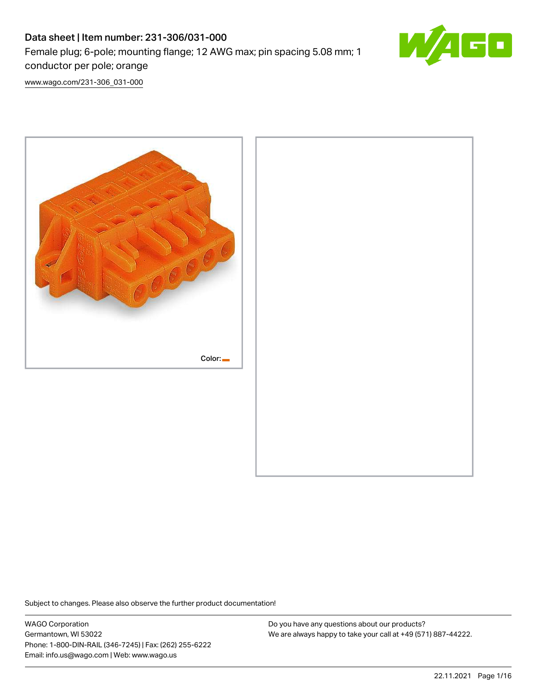# Data sheet | Item number: 231-306/031-000 Female plug; 6-pole; mounting flange; 12 AWG max; pin spacing 5.08 mm; 1 conductor per pole; orange



[www.wago.com/231-306\\_031-000](http://www.wago.com/231-306_031-000)



Subject to changes. Please also observe the further product documentation!

WAGO Corporation Germantown, WI 53022 Phone: 1-800-DIN-RAIL (346-7245) | Fax: (262) 255-6222 Email: info.us@wago.com | Web: www.wago.us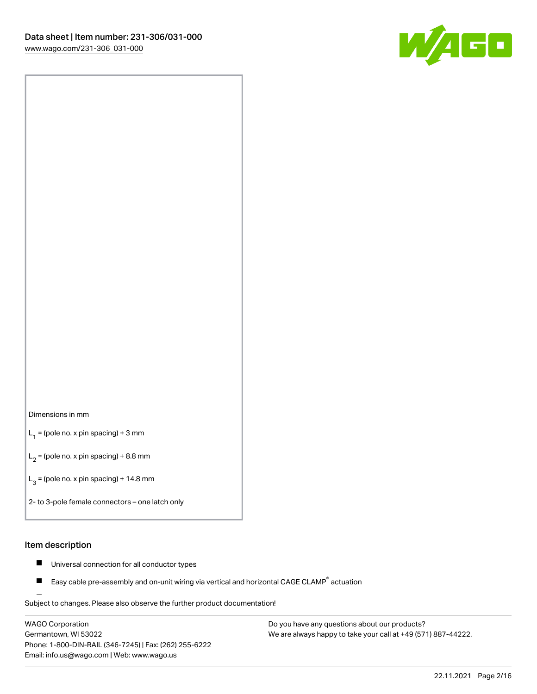

#### Dimensions in mm

 $L_1$  = (pole no. x pin spacing) + 3 mm

 $L_2$  = (pole no. x pin spacing) + 8.8 mm

 $L_3$  = (pole no. x pin spacing) + 14.8 mm

2- to 3-pole female connectors – one latch only

#### Item description

- Universal connection for all conductor types  $\blacksquare$
- Easy cable pre-assembly and on-unit wiring via vertical and horizontal CAGE CLAMP<sup>®</sup> actuation П

.<br>Subject to changes. Please also observe the further product documentation!

WAGO Corporation Germantown, WI 53022 Phone: 1-800-DIN-RAIL (346-7245) | Fax: (262) 255-6222 Email: info.us@wago.com | Web: www.wago.us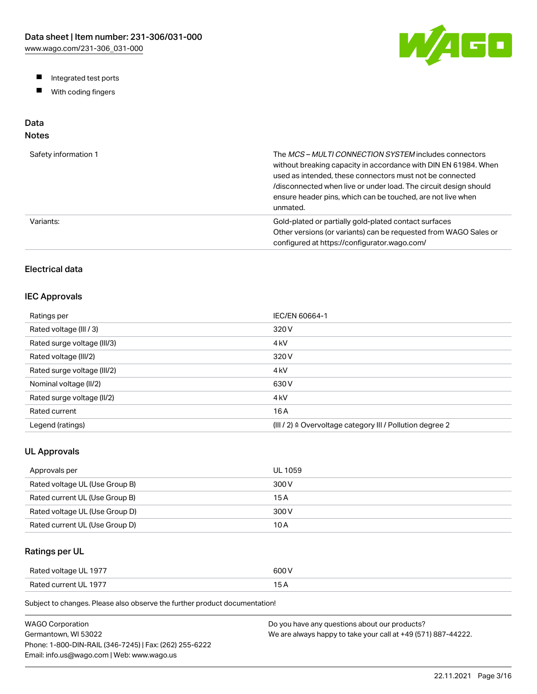W/AGO

- Integrated test ports
- $\blacksquare$ With coding fingers

# Data

# Notes

| Safety information 1 | The MCS-MULTI CONNECTION SYSTEM includes connectors<br>without breaking capacity in accordance with DIN EN 61984. When<br>used as intended, these connectors must not be connected<br>/disconnected when live or under load. The circuit design should<br>ensure header pins, which can be touched, are not live when<br>unmated. |
|----------------------|-----------------------------------------------------------------------------------------------------------------------------------------------------------------------------------------------------------------------------------------------------------------------------------------------------------------------------------|
| Variants:            | Gold-plated or partially gold-plated contact surfaces<br>Other versions (or variants) can be requested from WAGO Sales or<br>configured at https://configurator.wago.com/                                                                                                                                                         |

# Electrical data

## IEC Approvals

| Ratings per                 | IEC/EN 60664-1                                                        |
|-----------------------------|-----------------------------------------------------------------------|
| Rated voltage (III / 3)     | 320 V                                                                 |
| Rated surge voltage (III/3) | 4 <sub>kV</sub>                                                       |
| Rated voltage (III/2)       | 320 V                                                                 |
| Rated surge voltage (III/2) | 4 <sub>k</sub> V                                                      |
| Nominal voltage (II/2)      | 630 V                                                                 |
| Rated surge voltage (II/2)  | 4 <sub>k</sub> V                                                      |
| Rated current               | 16 A                                                                  |
| Legend (ratings)            | $(III / 2)$ $\triangle$ Overvoltage category III / Pollution degree 2 |

## UL Approvals

| Approvals per                  | <b>UL 1059</b> |
|--------------------------------|----------------|
| Rated voltage UL (Use Group B) | 300 V          |
| Rated current UL (Use Group B) | 15 A           |
| Rated voltage UL (Use Group D) | 300 V          |
| Rated current UL (Use Group D) | 10 A           |

## Ratings per UL

| Rated voltage UL 1977 | 600 V  |
|-----------------------|--------|
| Rated current UL 1977 | $\sim$ |

| WAGO Corporation                                       | Do you have any questions about our products?                 |
|--------------------------------------------------------|---------------------------------------------------------------|
| Germantown. WI 53022                                   | We are always happy to take your call at +49 (571) 887-44222. |
| Phone: 1-800-DIN-RAIL (346-7245)   Fax: (262) 255-6222 |                                                               |
| Email: info.us@wago.com   Web: www.wago.us             |                                                               |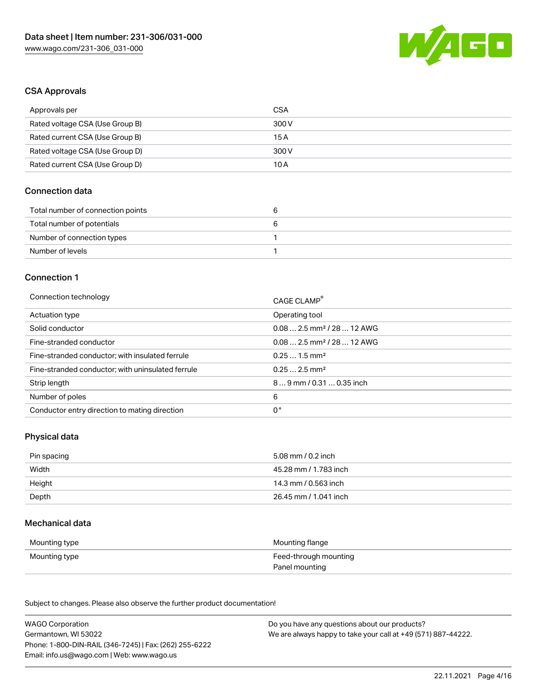

#### CSA Approvals

| Approvals per                   | CSA   |
|---------------------------------|-------|
| Rated voltage CSA (Use Group B) | 300 V |
| Rated current CSA (Use Group B) | 15 A  |
| Rated voltage CSA (Use Group D) | 300 V |
| Rated current CSA (Use Group D) | 10 A  |

## Connection data

| Total number of connection points |  |
|-----------------------------------|--|
| Total number of potentials        |  |
| Number of connection types        |  |
| Number of levels                  |  |

#### Connection 1

| Connection technology                             | CAGE CLAMP®                            |
|---------------------------------------------------|----------------------------------------|
| Actuation type                                    | Operating tool                         |
| Solid conductor                                   | $0.082.5$ mm <sup>2</sup> / 28  12 AWG |
| Fine-stranded conductor                           | $0.082.5$ mm <sup>2</sup> / 28  12 AWG |
| Fine-stranded conductor; with insulated ferrule   | $0.251.5$ mm <sup>2</sup>              |
| Fine-stranded conductor; with uninsulated ferrule | $0.252.5$ mm <sup>2</sup>              |
| Strip length                                      | $89$ mm / 0.31  0.35 inch              |
| Number of poles                                   | 6                                      |
| Conductor entry direction to mating direction     | 0°                                     |

## Physical data

| Pin spacing | 5.08 mm / 0.2 inch    |
|-------------|-----------------------|
| Width       | 45.28 mm / 1.783 inch |
| Height      | 14.3 mm / 0.563 inch  |
| Depth       | 26.45 mm / 1.041 inch |

#### Mechanical data

| Mounting type | Mounting flange                         |
|---------------|-----------------------------------------|
| Mounting type | Feed-through mounting<br>Panel mounting |

| <b>WAGO Corporation</b>                                | Do you have any questions about our products?                 |
|--------------------------------------------------------|---------------------------------------------------------------|
| Germantown, WI 53022                                   | We are always happy to take your call at +49 (571) 887-44222. |
| Phone: 1-800-DIN-RAIL (346-7245)   Fax: (262) 255-6222 |                                                               |
| Email: info.us@wago.com   Web: www.wago.us             |                                                               |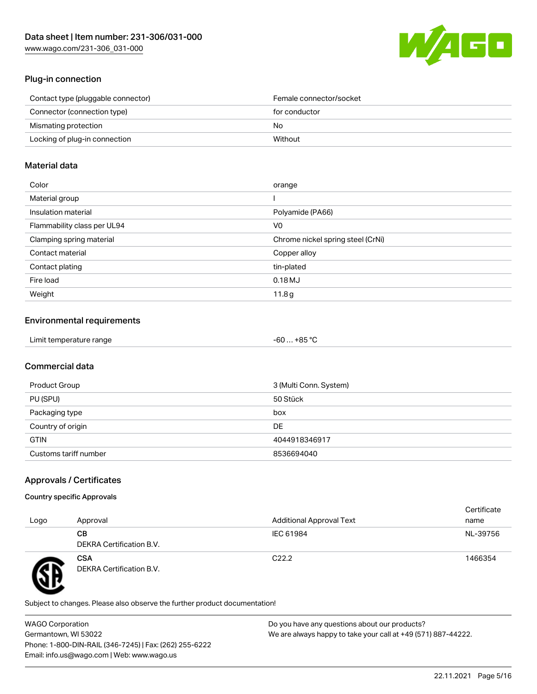

## Plug-in connection

| Contact type (pluggable connector) | Female connector/socket |
|------------------------------------|-------------------------|
| Connector (connection type)        | for conductor           |
| Mismating protection               | No.                     |
| Locking of plug-in connection      | Without                 |
|                                    |                         |

### Material data

| Color                       | orange                            |
|-----------------------------|-----------------------------------|
| Material group              |                                   |
| Insulation material         | Polyamide (PA66)                  |
| Flammability class per UL94 | V0                                |
| Clamping spring material    | Chrome nickel spring steel (CrNi) |
| Contact material            | Copper alloy                      |
| Contact plating             | tin-plated                        |
| Fire load                   | 0.18MJ                            |
| Weight                      | 11.8g                             |

## Environmental requirements

| Limit temperature range<br>and the contract of the contract of the contract of the contract of the contract of the contract of the contract of the contract of the contract of the contract of the contract of the contract of the contract of the contra | $-60+85 °C$ |  |
|-----------------------------------------------------------------------------------------------------------------------------------------------------------------------------------------------------------------------------------------------------------|-------------|--|
|-----------------------------------------------------------------------------------------------------------------------------------------------------------------------------------------------------------------------------------------------------------|-------------|--|

# Commercial data

| Product Group         | 3 (Multi Conn. System) |
|-----------------------|------------------------|
| PU (SPU)              | 50 Stück               |
| Packaging type        | box                    |
| Country of origin     | <b>DE</b>              |
| <b>GTIN</b>           | 4044918346917          |
| Customs tariff number | 8536694040             |

# Approvals / Certificates

#### Country specific Approvals

| Logo | Approval                               | <b>Additional Approval Text</b> | Certificate<br>name |
|------|----------------------------------------|---------------------------------|---------------------|
|      | CВ<br>DEKRA Certification B.V.         | IEC 61984                       | NL-39756            |
|      | <b>CSA</b><br>DEKRA Certification B.V. | C <sub>22.2</sub>               | 1466354             |

Subject to changes. Please also observe the further product documentation!

WAGO Corporation Germantown, WI 53022 Phone: 1-800-DIN-RAIL (346-7245) | Fax: (262) 255-6222 Email: info.us@wago.com | Web: www.wago.us Do you have any questions about our products? We are always happy to take your call at +49 (571) 887-44222.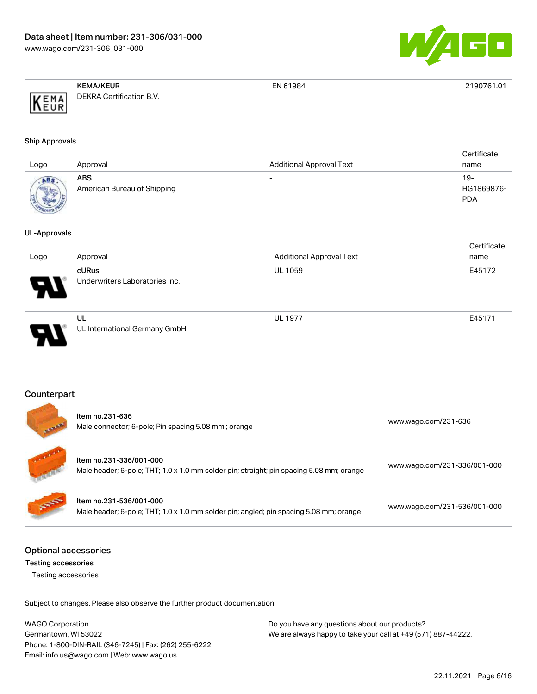

|      | <b>KEMA/KEUR</b>         | EN 61984 | 2190761.01 |
|------|--------------------------|----------|------------|
| KEMA | DEKRA Certification B.V. |          |            |

#### Ship Approvals

| Logo         | Approval                           | <b>Additional Approval Text</b> | Certificate<br>name               |
|--------------|------------------------------------|---------------------------------|-----------------------------------|
| <b>ROVED</b> | ABS<br>American Bureau of Shipping | $\overline{\phantom{0}}$        | $19-$<br>HG1869876-<br><b>PDA</b> |

#### UL-Approvals

|                            |                                                |                                 | Certificate |
|----------------------------|------------------------------------------------|---------------------------------|-------------|
| Logo                       | Approval                                       | <b>Additional Approval Text</b> | name        |
| $\boldsymbol{\mathcal{A}}$ | <b>cURus</b><br>Underwriters Laboratories Inc. | <b>UL 1059</b>                  | E45172      |
| D                          | UL<br>UL International Germany GmbH            | <b>UL 1977</b>                  | E45171      |

## Counterpart

| <b>Section</b> | Item no.231-636<br>Male connector; 6-pole; Pin spacing 5.08 mm; orange                                              | www.wago.com/231-636         |
|----------------|---------------------------------------------------------------------------------------------------------------------|------------------------------|
| $\mathbf{r}$   | Item no.231-336/001-000<br>Male header; 6-pole; THT; 1.0 x 1.0 mm solder pin; straight; pin spacing 5.08 mm; orange | www.wago.com/231-336/001-000 |
| S              | Item no.231-536/001-000<br>Male header; 6-pole; THT; 1.0 x 1.0 mm solder pin; angled; pin spacing 5.08 mm; orange   | www.wago.com/231-536/001-000 |
|                |                                                                                                                     |                              |

# Optional accessories

Testing accessories

Testing accessories

| <b>WAGO Corporation</b>                                | Do you have any questions about our products?                 |
|--------------------------------------------------------|---------------------------------------------------------------|
| Germantown, WI 53022                                   | We are always happy to take your call at +49 (571) 887-44222. |
| Phone: 1-800-DIN-RAIL (346-7245)   Fax: (262) 255-6222 |                                                               |
| Email: info.us@wago.com   Web: www.wago.us             |                                                               |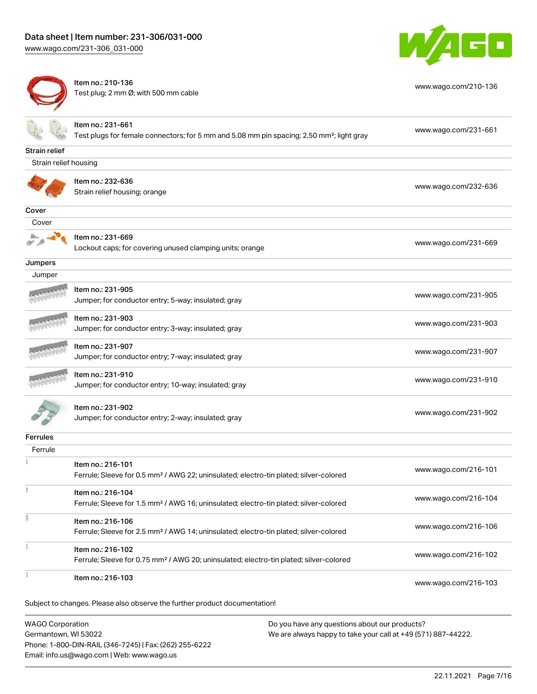C

[www.wago.com/210-136](http://www.wago.com/210-136)



Item no.: 210-136 Test plug; 2 mm Ø; with 500 mm cable

|                       | Item no.: 231-661<br>Test plugs for female connectors; for 5 mm and 5.08 mm pin spacing; 2,50 mm <sup>2</sup> ; light gray | www.wago.com/231-661 |
|-----------------------|----------------------------------------------------------------------------------------------------------------------------|----------------------|
| <b>Strain relief</b>  |                                                                                                                            |                      |
| Strain relief housing |                                                                                                                            |                      |
|                       | Item no.: 232-636<br>Strain relief housing; orange                                                                         | www.wago.com/232-636 |
| Cover                 |                                                                                                                            |                      |
| Cover                 |                                                                                                                            |                      |
|                       | Item no.: 231-669<br>Lockout caps; for covering unused clamping units; orange                                              | www.wago.com/231-669 |
| Jumpers               |                                                                                                                            |                      |
| Jumper                |                                                                                                                            |                      |
|                       | Item no.: 231-905<br>Jumper; for conductor entry; 5-way; insulated; gray                                                   | www.wago.com/231-905 |
|                       | Item no.: 231-903<br>Jumper; for conductor entry; 3-way; insulated; gray                                                   | www.wago.com/231-903 |
|                       | Item no.: 231-907<br>Jumper; for conductor entry; 7-way; insulated; gray                                                   | www.wago.com/231-907 |
|                       | Item no.: 231-910<br>Jumper; for conductor entry; 10-way; insulated; gray                                                  | www.wago.com/231-910 |
|                       | Item no.: 231-902<br>Jumper; for conductor entry; 2-way; insulated; gray                                                   | www.wago.com/231-902 |
| <b>Ferrules</b>       |                                                                                                                            |                      |
| Ferrule               |                                                                                                                            |                      |
|                       | Item no.: 216-101<br>Ferrule; Sleeve for 0.5 mm <sup>2</sup> / AWG 22; uninsulated; electro-tin plated; silver-colored     | www.wago.com/216-101 |
|                       | Item no.: 216-104<br>Ferrule; Sleeve for 1.5 mm <sup>2</sup> / AWG 16; uninsulated; electro-tin plated; silver-colored     | www.wago.com/216-104 |
| Ī                     | Item no.: 216-106<br>Ferrule; Sleeve for 2.5 mm <sup>2</sup> / AWG 14; uninsulated; electro-tin plated; silver-colored     | www.wago.com/216-106 |
| ł                     | Item no.: 216-102<br>Ferrule; Sleeve for 0.75 mm <sup>2</sup> / AWG 20; uninsulated; electro-tin plated; silver-colored    | www.wago.com/216-102 |
| ł                     | Item no.: 216-103                                                                                                          | www.wago.com/216-103 |
|                       | Subject to changes. Please also observe the further product documentation!                                                 |                      |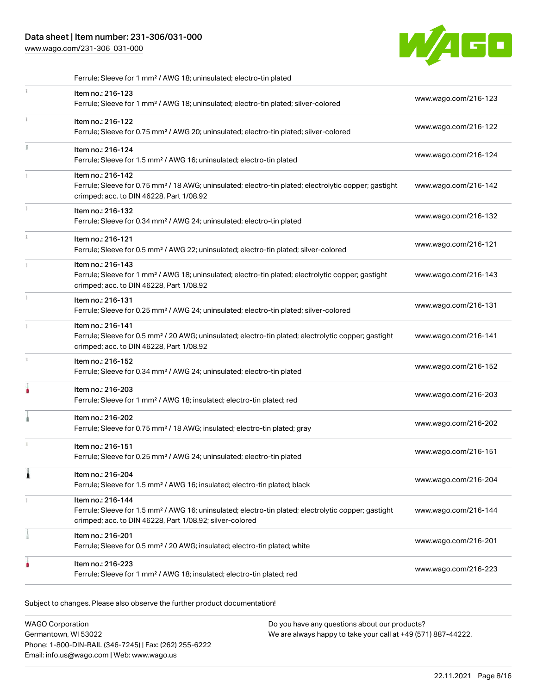# Data sheet | Item number: 231-306/031-000

[www.wago.com/231-306\\_031-000](http://www.wago.com/231-306_031-000)



|    | Ferrule; Sleeve for 1 mm <sup>2</sup> / AWG 18; uninsulated; electro-tin plated                                                                                                                   |                      |
|----|---------------------------------------------------------------------------------------------------------------------------------------------------------------------------------------------------|----------------------|
| Î. | Item no.: 216-123<br>Ferrule; Sleeve for 1 mm <sup>2</sup> / AWG 18; uninsulated; electro-tin plated; silver-colored                                                                              | www.wago.com/216-123 |
| Î. | Item no.: 216-122<br>Ferrule; Sleeve for 0.75 mm <sup>2</sup> / AWG 20; uninsulated; electro-tin plated; silver-colored                                                                           | www.wago.com/216-122 |
|    | Item no.: 216-124<br>Ferrule; Sleeve for 1.5 mm <sup>2</sup> / AWG 16; uninsulated; electro-tin plated                                                                                            | www.wago.com/216-124 |
|    | Item no.: 216-142<br>Ferrule; Sleeve for 0.75 mm <sup>2</sup> / 18 AWG; uninsulated; electro-tin plated; electrolytic copper; gastight<br>crimped; acc. to DIN 46228, Part 1/08.92                | www.wago.com/216-142 |
|    | Item no.: 216-132<br>Ferrule; Sleeve for 0.34 mm <sup>2</sup> / AWG 24; uninsulated; electro-tin plated                                                                                           | www.wago.com/216-132 |
| i. | Item no.: 216-121<br>Ferrule; Sleeve for 0.5 mm <sup>2</sup> / AWG 22; uninsulated; electro-tin plated; silver-colored                                                                            | www.wago.com/216-121 |
|    | Item no.: 216-143<br>Ferrule; Sleeve for 1 mm <sup>2</sup> / AWG 18; uninsulated; electro-tin plated; electrolytic copper; gastight<br>crimped; acc. to DIN 46228, Part 1/08.92                   | www.wago.com/216-143 |
| ĵ. | Item no.: 216-131<br>Ferrule; Sleeve for 0.25 mm <sup>2</sup> / AWG 24; uninsulated; electro-tin plated; silver-colored                                                                           | www.wago.com/216-131 |
|    | Item no.: 216-141<br>Ferrule; Sleeve for 0.5 mm <sup>2</sup> / 20 AWG; uninsulated; electro-tin plated; electrolytic copper; gastight<br>crimped; acc. to DIN 46228, Part 1/08.92                 | www.wago.com/216-141 |
| J. | Item no.: 216-152<br>Ferrule; Sleeve for 0.34 mm <sup>2</sup> / AWG 24; uninsulated; electro-tin plated                                                                                           | www.wago.com/216-152 |
|    | Item no.: 216-203<br>Ferrule; Sleeve for 1 mm <sup>2</sup> / AWG 18; insulated; electro-tin plated; red                                                                                           | www.wago.com/216-203 |
|    | Item no.: 216-202<br>Ferrule; Sleeve for 0.75 mm <sup>2</sup> / 18 AWG; insulated; electro-tin plated; gray                                                                                       | www.wago.com/216-202 |
| x  | Item no.: 216-151<br>Ferrule; Sleeve for 0.25 mm <sup>2</sup> / AWG 24; uninsulated; electro-tin plated                                                                                           | www.wago.com/216-151 |
| 1  | Item no.: 216-204<br>Ferrule; Sleeve for 1.5 mm <sup>2</sup> / AWG 16; insulated; electro-tin plated; black                                                                                       | www.wago.com/216-204 |
|    | Item no.: 216-144<br>Ferrule; Sleeve for 1.5 mm <sup>2</sup> / AWG 16; uninsulated; electro-tin plated; electrolytic copper; gastight<br>crimped; acc. to DIN 46228, Part 1/08.92; silver-colored | www.wago.com/216-144 |
|    | Item no.: 216-201<br>Ferrule; Sleeve for 0.5 mm <sup>2</sup> / 20 AWG; insulated; electro-tin plated; white                                                                                       | www.wago.com/216-201 |
|    | Item no.: 216-223<br>Ferrule; Sleeve for 1 mm <sup>2</sup> / AWG 18; insulated; electro-tin plated; red                                                                                           | www.wago.com/216-223 |

| <b>WAGO Corporation</b>                                | Do you have any questions about our products?                 |
|--------------------------------------------------------|---------------------------------------------------------------|
| Germantown, WI 53022                                   | We are always happy to take your call at +49 (571) 887-44222. |
| Phone: 1-800-DIN-RAIL (346-7245)   Fax: (262) 255-6222 |                                                               |
| Email: info.us@wago.com   Web: www.wago.us             |                                                               |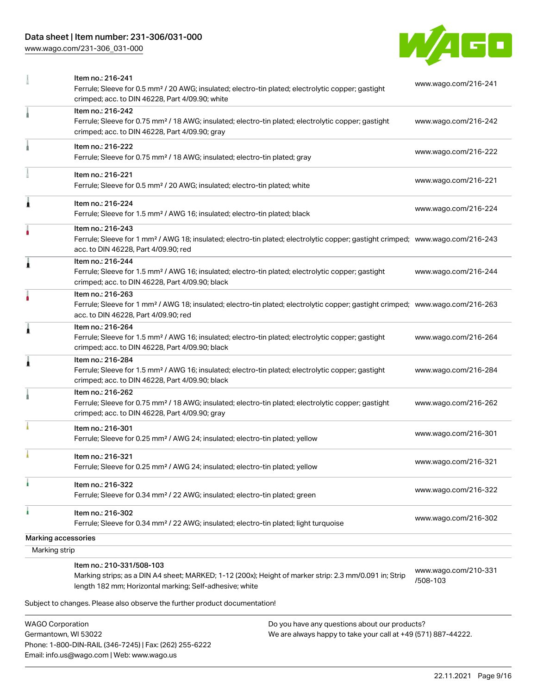# Data sheet | Item number: 231-306/031-000

[www.wago.com/231-306\\_031-000](http://www.wago.com/231-306_031-000)



| <b>WAGO Corporation</b>    |                                                                                                                                                                                                         | Do you have any questions about our products? |  |  |
|----------------------------|---------------------------------------------------------------------------------------------------------------------------------------------------------------------------------------------------------|-----------------------------------------------|--|--|
|                            | Subject to changes. Please also observe the further product documentation!                                                                                                                              |                                               |  |  |
|                            | Item no.: 210-331/508-103<br>Marking strips; as a DIN A4 sheet; MARKED; 1-12 (200x); Height of marker strip: 2.3 mm/0.091 in; Strip<br>length 182 mm; Horizontal marking; Self-adhesive; white          | www.wago.com/210-331<br>/508-103              |  |  |
| Marking strip              |                                                                                                                                                                                                         |                                               |  |  |
| <b>Marking accessories</b> |                                                                                                                                                                                                         |                                               |  |  |
| ٠                          | Item no.: 216-302<br>Ferrule; Sleeve for 0.34 mm <sup>2</sup> / 22 AWG; insulated; electro-tin plated; light turquoise                                                                                  | www.wago.com/216-302                          |  |  |
|                            | Item no.: 216-322<br>Ferrule; Sleeve for 0.34 mm <sup>2</sup> / 22 AWG; insulated; electro-tin plated; green                                                                                            | www.wago.com/216-322                          |  |  |
|                            | Item no.: 216-321<br>Ferrule; Sleeve for 0.25 mm <sup>2</sup> / AWG 24; insulated; electro-tin plated; yellow                                                                                           | www.wago.com/216-321                          |  |  |
|                            | Item no.: 216-301<br>Ferrule; Sleeve for 0.25 mm <sup>2</sup> / AWG 24; insulated; electro-tin plated; yellow                                                                                           | www.wago.com/216-301                          |  |  |
|                            | Item no.: 216-262<br>Ferrule; Sleeve for 0.75 mm <sup>2</sup> / 18 AWG; insulated; electro-tin plated; electrolytic copper; gastight<br>crimped; acc. to DIN 46228, Part 4/09.90; gray                  | www.wago.com/216-262                          |  |  |
| 1                          | Item no.: 216-284<br>Ferrule; Sleeve for 1.5 mm <sup>2</sup> / AWG 16; insulated; electro-tin plated; electrolytic copper; gastight<br>crimped; acc. to DIN 46228, Part 4/09.90; black                  | www.wago.com/216-284                          |  |  |
| Â                          | Item no.: 216-264<br>Ferrule; Sleeve for 1.5 mm <sup>2</sup> / AWG 16; insulated; electro-tin plated; electrolytic copper; gastight<br>crimped; acc. to DIN 46228, Part 4/09.90; black                  | www.wago.com/216-264                          |  |  |
|                            | Item no.: 216-263<br>Ferrule; Sleeve for 1 mm <sup>2</sup> / AWG 18; insulated; electro-tin plated; electrolytic copper; gastight crimped; www.wago.com/216-263<br>acc. to DIN 46228, Part 4/09.90; red |                                               |  |  |
| 1                          | Item no.: 216-244<br>Ferrule; Sleeve for 1.5 mm <sup>2</sup> / AWG 16; insulated; electro-tin plated; electrolytic copper; gastight<br>crimped; acc. to DIN 46228, Part 4/09.90; black                  | www.wago.com/216-244                          |  |  |
|                            | Item no.: 216-243<br>Ferrule; Sleeve for 1 mm <sup>2</sup> / AWG 18; insulated; electro-tin plated; electrolytic copper; gastight crimped; www.wago.com/216-243<br>acc. to DIN 46228, Part 4/09.90; red |                                               |  |  |
| Â                          | Item no.: 216-224<br>Ferrule; Sleeve for 1.5 mm <sup>2</sup> / AWG 16; insulated; electro-tin plated; black                                                                                             | www.wago.com/216-224                          |  |  |
|                            | Item no.: 216-221<br>Ferrule; Sleeve for 0.5 mm <sup>2</sup> / 20 AWG; insulated; electro-tin plated; white                                                                                             | www.wago.com/216-221                          |  |  |
|                            | Item no.: 216-222<br>Ferrule; Sleeve for 0.75 mm <sup>2</sup> / 18 AWG; insulated; electro-tin plated; gray                                                                                             | www.wago.com/216-222                          |  |  |
|                            | Item no.: 216-242<br>Ferrule; Sleeve for 0.75 mm <sup>2</sup> / 18 AWG; insulated; electro-tin plated; electrolytic copper; gastight<br>crimped; acc. to DIN 46228, Part 4/09.90; gray                  | www.wago.com/216-242                          |  |  |
|                            | Item no.: 216-241<br>Ferrule; Sleeve for 0.5 mm <sup>2</sup> / 20 AWG; insulated; electro-tin plated; electrolytic copper; gastight<br>crimped; acc. to DIN 46228, Part 4/09.90; white                  | www.wago.com/216-241                          |  |  |

Germantown, WI 53022 Phone: 1-800-DIN-RAIL (346-7245) | Fax: (262) 255-6222 Email: info.us@wago.com | Web: www.wago.us

We are always happy to take your call at +49 (571) 887-44222.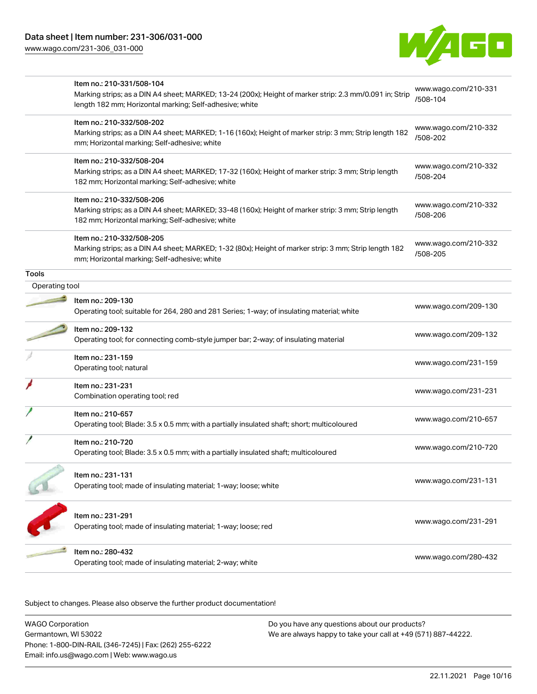[www.wago.com/231-306\\_031-000](http://www.wago.com/231-306_031-000)



|                | Item no.: 210-331/508-104<br>Marking strips; as a DIN A4 sheet; MARKED; 13-24 (200x); Height of marker strip: 2.3 mm/0.091 in; Strip<br>length 182 mm; Horizontal marking; Self-adhesive; white | www.wago.com/210-331<br>/508-104 |
|----------------|-------------------------------------------------------------------------------------------------------------------------------------------------------------------------------------------------|----------------------------------|
|                | Item no.: 210-332/508-202<br>Marking strips; as a DIN A4 sheet; MARKED; 1-16 (160x); Height of marker strip: 3 mm; Strip length 182<br>mm; Horizontal marking; Self-adhesive; white             | www.wago.com/210-332<br>/508-202 |
|                | Item no.: 210-332/508-204<br>Marking strips; as a DIN A4 sheet; MARKED; 17-32 (160x); Height of marker strip: 3 mm; Strip length<br>182 mm; Horizontal marking; Self-adhesive; white            | www.wago.com/210-332<br>/508-204 |
|                | Item no.: 210-332/508-206<br>Marking strips; as a DIN A4 sheet; MARKED; 33-48 (160x); Height of marker strip: 3 mm; Strip length<br>182 mm; Horizontal marking; Self-adhesive; white            | www.wago.com/210-332<br>/508-206 |
|                | Item no.: 210-332/508-205<br>Marking strips; as a DIN A4 sheet; MARKED; 1-32 (80x); Height of marker strip: 3 mm; Strip length 182<br>mm; Horizontal marking; Self-adhesive; white              | www.wago.com/210-332<br>/508-205 |
| <b>Tools</b>   |                                                                                                                                                                                                 |                                  |
| Operating tool |                                                                                                                                                                                                 |                                  |
|                | Item no.: 209-130<br>Operating tool; suitable for 264, 280 and 281 Series; 1-way; of insulating material; white                                                                                 | www.wago.com/209-130             |
|                | Item no.: 209-132<br>Operating tool; for connecting comb-style jumper bar; 2-way; of insulating material                                                                                        | www.wago.com/209-132             |
|                | Item no.: 231-159<br>Operating tool; natural                                                                                                                                                    | www.wago.com/231-159             |
|                | Item no.: 231-231<br>Combination operating tool; red                                                                                                                                            | www.wago.com/231-231             |
|                | Item no.: 210-657<br>Operating tool; Blade: 3.5 x 0.5 mm; with a partially insulated shaft; short; multicoloured                                                                                | www.wago.com/210-657             |
|                | Item no.: 210-720<br>Operating tool; Blade: 3.5 x 0.5 mm; with a partially insulated shaft; multicoloured                                                                                       | www.wago.com/210-720             |
|                | Item no.: 231-131<br>Operating tool; made of insulating material; 1-way; loose; white                                                                                                           | www.wago.com/231-131             |
|                | Item no.: 231-291<br>Operating tool; made of insulating material; 1-way; loose; red                                                                                                             | www.wago.com/231-291             |
|                | Item no.: 280-432<br>Operating tool; made of insulating material; 2-way; white                                                                                                                  | www.wago.com/280-432             |
|                |                                                                                                                                                                                                 |                                  |

Subject to changes. Please also observe the further product documentation!

WAGO Corporation Germantown, WI 53022 Phone: 1-800-DIN-RAIL (346-7245) | Fax: (262) 255-6222 Email: info.us@wago.com | Web: www.wago.us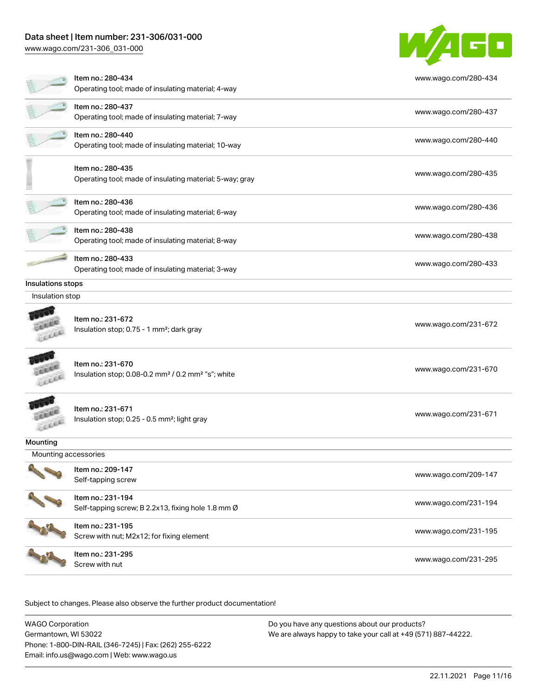# Data sheet | Item number: 231-306/031-000

[www.wago.com/231-306\\_031-000](http://www.wago.com/231-306_031-000)



|                      | Item no.: 280-434<br>Operating tool; made of insulating material; 4-way                         | www.wago.com/280-434 |
|----------------------|-------------------------------------------------------------------------------------------------|----------------------|
|                      | Item no.: 280-437<br>Operating tool; made of insulating material; 7-way                         | www.wago.com/280-437 |
|                      | Item no.: 280-440<br>Operating tool; made of insulating material; 10-way                        | www.wago.com/280-440 |
|                      | Item no.: 280-435<br>Operating tool; made of insulating material; 5-way; gray                   | www.wago.com/280-435 |
|                      | Item no.: 280-436<br>Operating tool; made of insulating material; 6-way                         | www.wago.com/280-436 |
|                      | Item no.: 280-438<br>Operating tool; made of insulating material; 8-way                         | www.wago.com/280-438 |
|                      | Item no.: 280-433<br>Operating tool; made of insulating material; 3-way                         | www.wago.com/280-433 |
| Insulations stops    |                                                                                                 |                      |
| Insulation stop      |                                                                                                 |                      |
| $\sim$               | Item no.: 231-672<br>Insulation stop; 0.75 - 1 mm <sup>2</sup> ; dark gray                      | www.wago.com/231-672 |
|                      | Item no.: 231-670<br>Insulation stop; 0.08-0.2 mm <sup>2</sup> / 0.2 mm <sup>2</sup> "s"; white | www.wago.com/231-670 |
| TEEL                 | Item no.: 231-671<br>Insulation stop; 0.25 - 0.5 mm <sup>2</sup> ; light gray                   | www.wago.com/231-671 |
| Mounting             |                                                                                                 |                      |
| Mounting accessories |                                                                                                 |                      |
|                      | Item no.: 209-147<br>Self-tapping screw                                                         | www.wago.com/209-147 |
|                      | Item no.: 231-194<br>Self-tapping screw; B 2.2x13, fixing hole 1.8 mm Ø                         | www.wago.com/231-194 |
| 33-                  | Item no.: 231-195<br>Screw with nut; M2x12; for fixing element                                  | www.wago.com/231-195 |
|                      | Item no.: 231-295<br>Screw with nut                                                             | www.wago.com/231-295 |
|                      |                                                                                                 |                      |

Subject to changes. Please also observe the further product documentation! Downloads

WAGO Corporation Germantown, WI 53022 Phone: 1-800-DIN-RAIL (346-7245) | Fax: (262) 255-6222 Email: info.us@wago.com | Web: www.wago.us Do you have any questions about our products? We are always happy to take your call at +49 (571) 887-44222.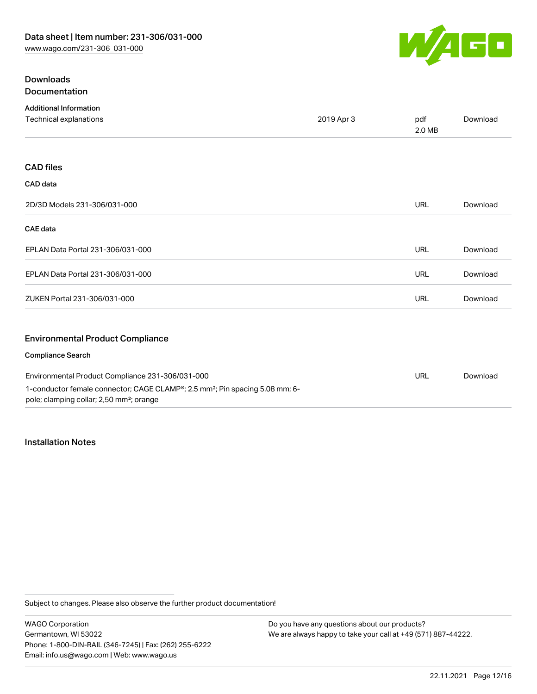

# Downloads **Documentation**

| <b>Additional Information</b>                                                      |            |               |                                    |
|------------------------------------------------------------------------------------|------------|---------------|------------------------------------|
| Technical explanations                                                             | 2019 Apr 3 | pdf<br>2.0 MB | Download                           |
|                                                                                    |            |               |                                    |
| <b>CAD files</b>                                                                   |            |               |                                    |
| CAD data                                                                           |            |               |                                    |
| 2D/3D Models 231-306/031-000                                                       |            | <b>URL</b>    | Download                           |
| <b>CAE</b> data                                                                    |            |               |                                    |
| EPLAN Data Portal 231-306/031-000                                                  |            | <b>URL</b>    | Download                           |
| EPLAN Data Portal 231-306/031-000                                                  |            | <b>URL</b>    | Download                           |
| ZUKEN Portal 231-306/031-000                                                       |            | <b>URL</b>    | Download                           |
| <b>Environmental Product Compliance</b>                                            |            |               |                                    |
| <b>Compliance Search</b>                                                           |            |               |                                    |
| $F: \mathbb{R} \cup \mathbb{R} \cup \mathbb{R} \cup \mathbb{R}$ is an analogue and |            | $\mathbf{F}$  | $\sim$ $\sim$ $\sim$ $\sim$ $\sim$ |

Environmental Product Compliance 231-306/031-000 1-conductor female connector; CAGE CLAMP®; 2.5 mm²; Pin spacing 5.08 mm; 6 pole; clamping collar; 2,50 mm²; orange URL [Download](https://www.wago.com/global/d/ComplianceLinkMediaContainer_231-306_031-000)

#### Installation Notes

Subject to changes. Please also observe the further product documentation!

WAGO Corporation Germantown, WI 53022 Phone: 1-800-DIN-RAIL (346-7245) | Fax: (262) 255-6222 Email: info.us@wago.com | Web: www.wago.us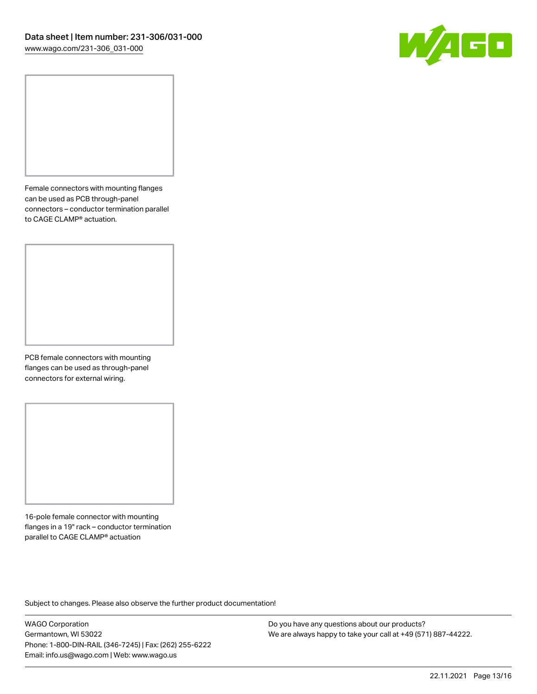

Female connectors with mounting flanges can be used as PCB through-panel connectors – conductor termination parallel to CAGE CLAMP® actuation.

PCB female connectors with mounting flanges can be used as through-panel connectors for external wiring.

16-pole female connector with mounting flanges in a 19" rack – conductor termination parallel to CAGE CLAMP® actuation

Subject to changes. Please also observe the further product documentation!

WAGO Corporation Germantown, WI 53022 Phone: 1-800-DIN-RAIL (346-7245) | Fax: (262) 255-6222 Email: info.us@wago.com | Web: www.wago.us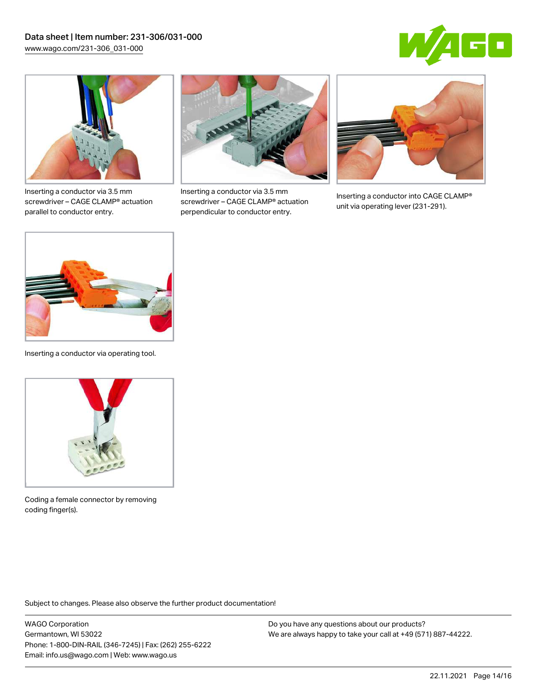



Inserting a conductor via 3.5 mm screwdriver – CAGE CLAMP® actuation parallel to conductor entry.



Inserting a conductor via 3.5 mm screwdriver – CAGE CLAMP® actuation perpendicular to conductor entry.



Inserting a conductor into CAGE CLAMP® unit via operating lever (231-291).



Inserting a conductor via operating tool.



Coding a female connector by removing coding finger(s).

Subject to changes. Please also observe the further product documentation!

WAGO Corporation Germantown, WI 53022 Phone: 1-800-DIN-RAIL (346-7245) | Fax: (262) 255-6222 Email: info.us@wago.com | Web: www.wago.us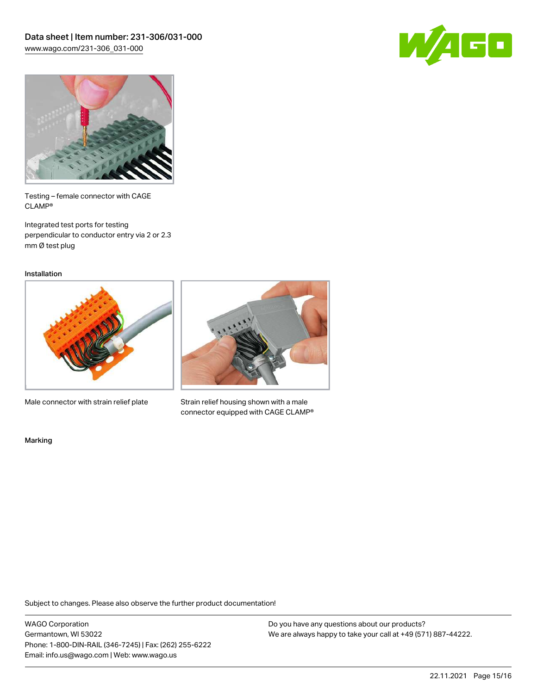



Testing – female connector with CAGE CLAMP®

Integrated test ports for testing perpendicular to conductor entry via 2 or 2.3 mm Ø test plug

Installation



Male connector with strain relief plate



Strain relief housing shown with a male connector equipped with CAGE CLAMP®

Marking

Subject to changes. Please also observe the further product documentation!

WAGO Corporation Germantown, WI 53022 Phone: 1-800-DIN-RAIL (346-7245) | Fax: (262) 255-6222 Email: info.us@wago.com | Web: www.wago.us